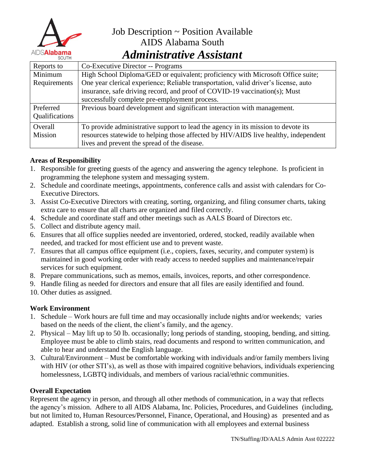

# Job Description ~ Position Available AIDS Alabama South *Administrative Assistant*

| Reports to            | Co-Executive Director -- Programs                                                   |
|-----------------------|-------------------------------------------------------------------------------------|
| Minimum               | High School Diploma/GED or equivalent; proficiency with Microsoft Office suite;     |
| Requirements          | One year clerical experience; Reliable transportation, valid driver's license, auto |
|                       | insurance, safe driving record, and proof of COVID-19 vaccination(s); Must          |
|                       | successfully complete pre-employment process.                                       |
| Preferred             | Previous board development and significant interaction with management.             |
| <b>Qualifications</b> |                                                                                     |
| Overall               | To provide administrative support to lead the agency in its mission to devote its   |
| Mission               | resources statewide to helping those affected by HIV/AIDS live healthy, independent |
|                       | lives and prevent the spread of the disease.                                        |

## **Areas of Responsibility**

- 1. Responsible for greeting guests of the agency and answering the agency telephone. Is proficient in programming the telephone system and messaging system.
- 2. Schedule and coordinate meetings, appointments, conference calls and assist with calendars for Co-Executive Directors.
- 3. Assist Co-Executive Directors with creating, sorting, organizing, and filing consumer charts, taking extra care to ensure that all charts are organized and filed correctly.
- 4. Schedule and coordinate staff and other meetings such as AALS Board of Directors etc.
- 5. Collect and distribute agency mail.
- 6. Ensures that all office supplies needed are inventoried, ordered, stocked, readily available when needed, and tracked for most efficient use and to prevent waste.
- 7. Ensures that all campus office equipment (i.e., copiers, faxes, security, and computer system) is maintained in good working order with ready access to needed supplies and maintenance/repair services for such equipment.
- 8. Prepare communications, such as memos, emails, invoices, reports, and other correspondence.
- 9. Handle filing as needed for directors and ensure that all files are easily identified and found.
- 10. Other duties as assigned.

### **Work Environment**

- 1. Schedule Work hours are full time and may occasionally include nights and/or weekends; varies based on the needs of the client, the client's family, and the agency.
- 2. Physical May lift up to 50 lb. occasionally; long periods of standing, stooping, bending, and sitting. Employee must be able to climb stairs, read documents and respond to written communication, and able to hear and understand the English language.
- 3. Cultural/Environment Must be comfortable working with individuals and/or family members living with HIV (or other STI's), as well as those with impaired cognitive behaviors, individuals experiencing homelessness, LGBTQ individuals, and members of various racial/ethnic communities.

### **Overall Expectation**

Represent the agency in person, and through all other methods of communication, in a way that reflects the agency's mission. Adhere to all AIDS Alabama, Inc. Policies, Procedures, and Guidelines (including, but not limited to, Human Resources/Personnel, Finance, Operational, and Housing) as presented and as adapted. Establish a strong, solid line of communication with all employees and external business